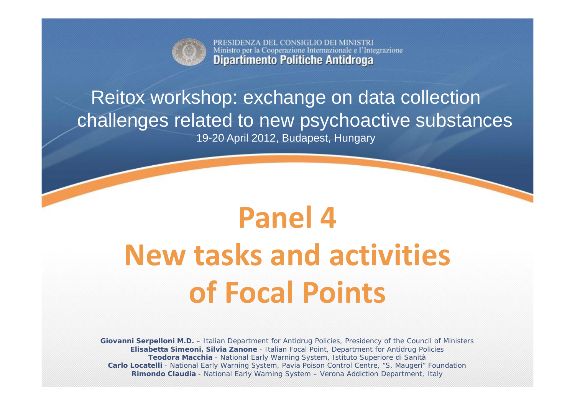

PRESIDENZA DEL CONSIGLIO DEI MINISTRI Ministro per la Cooperazione Internazionale e l'Integrazione **Dipartimento Politiche Antidroga** 

## Reitox workshop: exchange on data collection challenges related to new psychoactive substances

19-20 April 2012, Budapest, Hungary

# **Panel 4New tasks and activities of Focal Points**

**Giovanni Serpelloni M.D.** – Italian Department for Antidrug Policies, Presidency of the Council of Ministers **Elisabetta Simeoni, Silvia Zanone** - Italian Focal Point, Department for Antidrug Policies **Teodora Macchia** - National Early Warning System, Istituto Superiore di Sanità **Carlo Locatelli** - National Early Warning System, Pavia Poison Control Centre, "S. Maugeri" Foundation **Rimondo Claudia** - National Early Warning System – Verona Addiction Department, Italy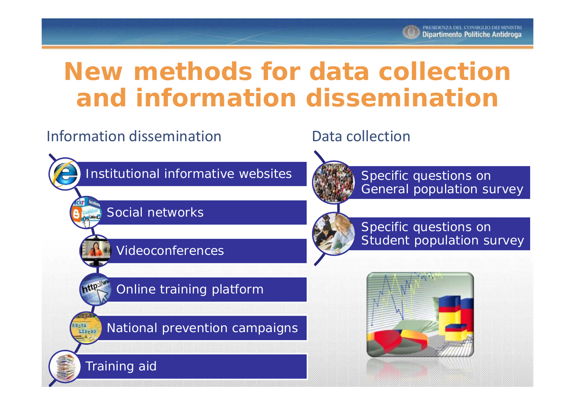

## **New methods for data collection and information dissemination**

### Information dissemination and Data collection

Training aid

EgTA<br>LIB<sub>D</sub>RO

Institutional informative websites

#### Social networks

Videoconferences



Specific questions on General population survey



Specific questions on Student population survey

Online training platform

National prevention campaigns

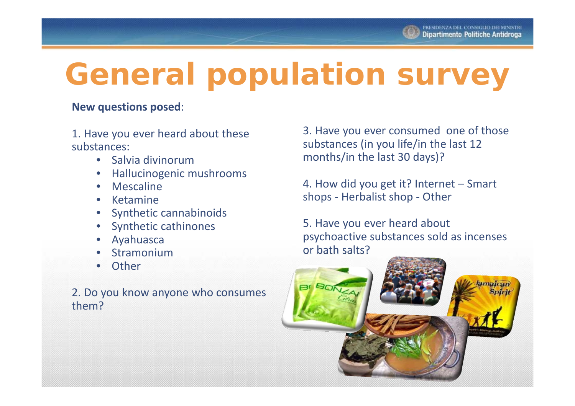## **General population survey**

#### **New questions posed**:

1. Have you ever heard about these substances:

- Salvia divinorum
- •Hallucinogenic mushrooms
- •Mescaline
- •Ketamine
- •Synthetic cannabinoids
- •Synthetic cathinones
- •Ayahuasca
- •Stramonium
- •**Other**

2. Do you know anyone who consumes them?

3. Have you ever consumed one of those substances (in you life/in the last 12 months/in the last 30 days)?

4. How did you get it? Internet – Smart shops ‐ Herbalist shop ‐ Other

5. Have you ever heard about psychoactive substances sold as incenses or bath salts?

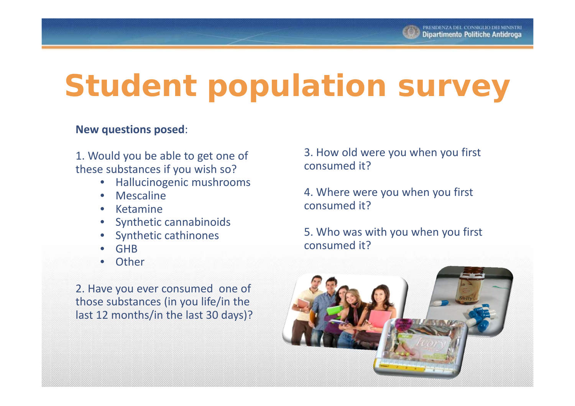

## **Student population survey**

#### **New questions posed**:

1. Would you be able to get one of these substances if you wish so?

- •Hallucinogenic mushrooms
- $\bullet$ Mescaline
- Ketamine
- Synthetic cannabinoids
- •Synthetic cathinones
- •GHB
- •**Other**

2. Have you ever consumed one of those substances (in you life/in the last 12 months/in the last 30 days)?

3. How old were you when you first consumed it?

4. Where were you when you first consumed it?

5. Who was with you when you first consumed it?

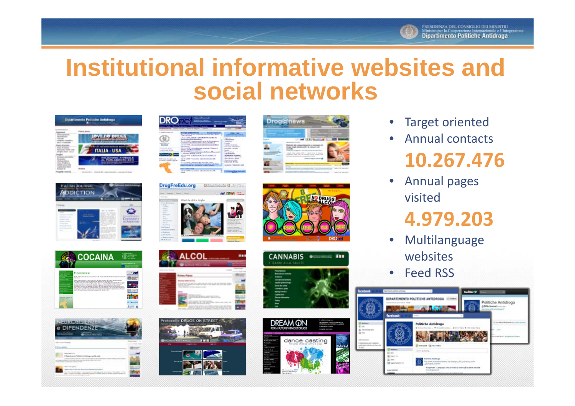

## **Institutional informative websites and social networks**

**Drog@news** 













un secondarios a

ALCOL



**TOW** 







- •Target oriented
- • Annual contacts**10.267.476**
- $\bullet$  Annual pages visited

### **4.979.203**

- $\bullet$  Multilanguage websites
- •• Feed RSS

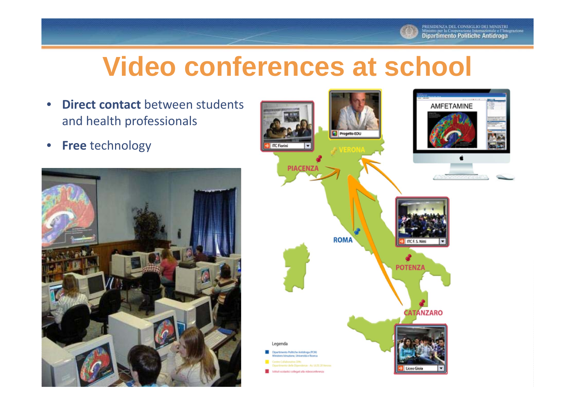

## **Video conferences at school**